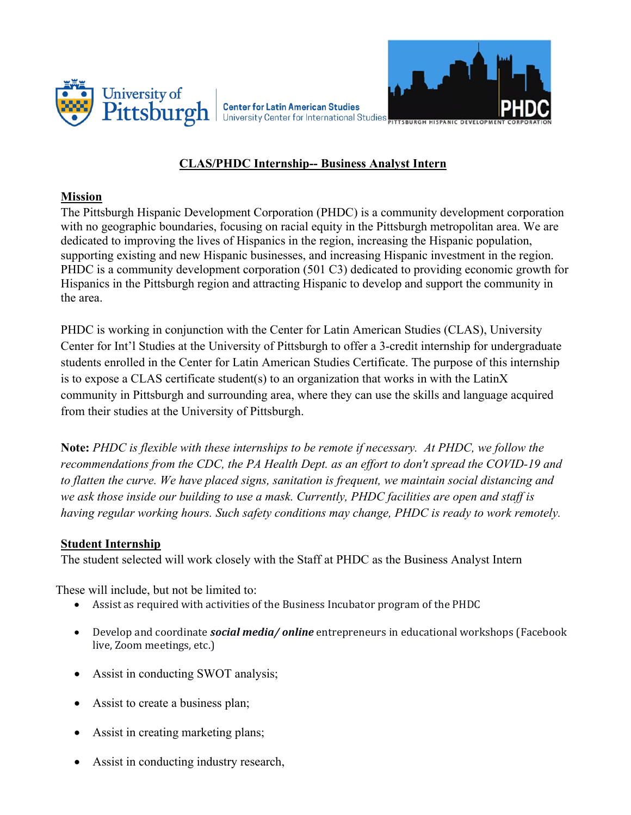



**Center for Latin American Studies** University Center for International Studies

# **CLAS/PHDC Internship-- Business Analyst Intern**

## **Mission**

The Pittsburgh Hispanic Development Corporation (PHDC) is a community development corporation with no geographic boundaries, focusing on racial equity in the Pittsburgh metropolitan area. We are dedicated to improving the lives of Hispanics in the region, increasing the Hispanic population, supporting existing and new Hispanic businesses, and increasing Hispanic investment in the region. PHDC is a community development corporation (501 C3) dedicated to providing economic growth for Hispanics in the Pittsburgh region and attracting Hispanic to develop and support the community in the area.

PHDC is working in conjunction with the Center for Latin American Studies (CLAS), University Center for Int'l Studies at the University of Pittsburgh to offer a 3-credit internship for undergraduate students enrolled in the Center for Latin American Studies Certificate. The purpose of this internship is to expose a CLAS certificate student(s) to an organization that works in with the LatinX community in Pittsburgh and surrounding area, where they can use the skills and language acquired from their studies at the University of Pittsburgh.

**Note:** *PHDC is flexible with these internships to be remote if necessary. At PHDC, we follow the recommendations from the CDC, the PA Health Dept. as an effort to don't spread the COVID-19 and to flatten the curve. We have placed signs, sanitation is frequent, we maintain social distancing and we ask those inside our building to use a mask. Currently, PHDC facilities are open and staff is having regular working hours. Such safety conditions may change, PHDC is ready to work remotely.*

### **Student Internship**

The student selected will work closely with the Staff at PHDC as the Business Analyst Intern

These will include, but not be limited to:

- Assist as required with activities of the Business Incubator program of the PHDC
- Develop and coordinate *social media/ online* entrepreneurs in educational workshops (Facebook live, Zoom meetings, etc.)
- Assist in conducting SWOT analysis;
- Assist to create a business plan;
- Assist in creating marketing plans;
- Assist in conducting industry research,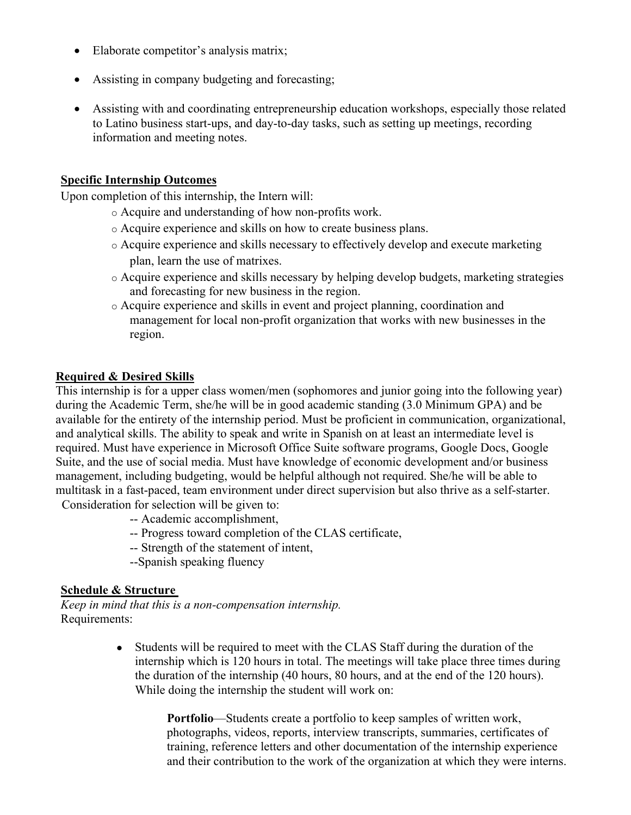- Elaborate competitor's analysis matrix;
- Assisting in company budgeting and forecasting;
- Assisting with and coordinating entrepreneurship education workshops, especially those related to Latino business start-ups, and day-to-day tasks, such as setting up meetings, recording information and meeting notes.

### **Specific Internship Outcomes**

Upon completion of this internship, the Intern will:

- o Acquire and understanding of how non-profits work.
- o Acquire experience and skills on how to create business plans.
- o Acquire experience and skills necessary to effectively develop and execute marketing plan, learn the use of matrixes.
- o Acquire experience and skills necessary by helping develop budgets, marketing strategies and forecasting for new business in the region.
- o Acquire experience and skills in event and project planning, coordination and management for local non-profit organization that works with new businesses in the region.

### **Required & Desired Skills**

This internship is for a upper class women/men (sophomores and junior going into the following year) during the Academic Term, she/he will be in good academic standing (3.0 Minimum GPA) and be available for the entirety of the internship period. Must be proficient in communication, organizational, and analytical skills. The ability to speak and write in Spanish on at least an intermediate level is required. Must have experience in Microsoft Office Suite software programs, Google Docs, Google Suite, and the use of social media. Must have knowledge of economic development and/or business management, including budgeting, would be helpful although not required. She/he will be able to multitask in a fast-paced, team environment under direct supervision but also thrive as a self-starter.

Consideration for selection will be given to:

- -- Academic accomplishment,
- -- Progress toward completion of the CLAS certificate,
- -- Strength of the statement of intent,
- --Spanish speaking fluency

### **Schedule & Structure**

*Keep in mind that this is a non-compensation internship.* Requirements:

> • Students will be required to meet with the CLAS Staff during the duration of the internship which is 120 hours in total. The meetings will take place three times during the duration of the internship (40 hours, 80 hours, and at the end of the 120 hours). While doing the internship the student will work on:

> > **Portfolio**—Students create a portfolio to keep samples of written work, photographs, videos, reports, interview transcripts, summaries, certificates of training, reference letters and other documentation of the internship experience and their contribution to the work of the organization at which they were interns.